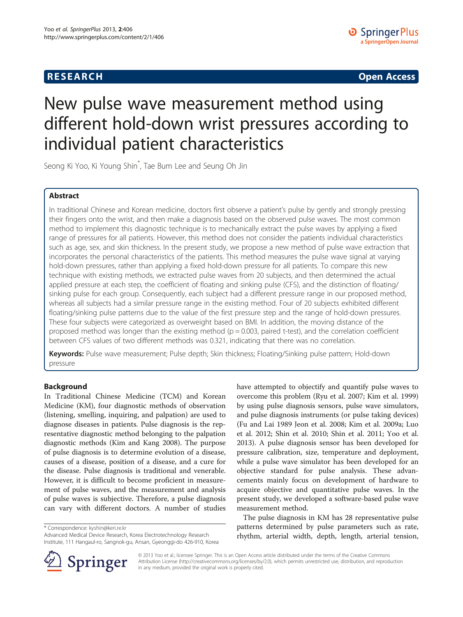# **RESEARCH CHINESE ARCH CHINESE ARCH CHINESE ARCH <b>CHINESE ARCH**

# New pulse wave measurement method using different hold-down wrist pressures according to individual patient characteristics

Seong Ki Yoo, Ki Young Shin\* , Tae Bum Lee and Seung Oh Jin

# Abstract

In traditional Chinese and Korean medicine, doctors first observe a patient's pulse by gently and strongly pressing their fingers onto the wrist, and then make a diagnosis based on the observed pulse waves. The most common method to implement this diagnostic technique is to mechanically extract the pulse waves by applying a fixed range of pressures for all patients. However, this method does not consider the patients individual characteristics such as age, sex, and skin thickness. In the present study, we propose a new method of pulse wave extraction that incorporates the personal characteristics of the patients. This method measures the pulse wave signal at varying hold-down pressures, rather than applying a fixed hold-down pressure for all patients. To compare this new technique with existing methods, we extracted pulse waves from 20 subjects, and then determined the actual applied pressure at each step, the coefficient of floating and sinking pulse (CFS), and the distinction of floating/ sinking pulse for each group. Consequently, each subject had a different pressure range in our proposed method, whereas all subjects had a similar pressure range in the existing method. Four of 20 subjects exhibited different floating/sinking pulse patterns due to the value of the first pressure step and the range of hold-down pressures. These four subjects were categorized as overweight based on BMI. In addition, the moving distance of the proposed method was longer than the existing method ( $p = 0.003$ , paired t-test), and the correlation coefficient between CFS values of two different methods was 0.321, indicating that there was no correlation.

Keywords: Pulse wave measurement; Pulse depth; Skin thickness; Floating/Sinking pulse pattern; Hold-down pressure

# **Background**

In Traditional Chinese Medicine (TCM) and Korean Medicine (KM), four diagnostic methods of observation (listening, smelling, inquiring, and palpation) are used to diagnose diseases in patients. Pulse diagnosis is the representative diagnostic method belonging to the palpation diagnostic methods (Kim and Kang [2008\)](#page-7-0). The purpose of pulse diagnosis is to determine evolution of a disease, causes of a disease, position of a disease, and a cure for the disease. Pulse diagnosis is traditional and venerable. However, it is difficult to become proficient in measurement of pulse waves, and the measurement and analysis of pulse waves is subjective. Therefore, a pulse diagnosis can vary with different doctors. A number of studies

\* Correspondence: [kyshin@keri.re.kr](mailto:kyshin@keri.re.kr)

Advanced Medical Device Research, Korea Electrotechnology Research Institute, 111 Hangaul-ro, Sangnok-gu, Ansan, Gyeonggi-do 426-910, Korea



The pulse diagnosis in KM has 28 representative pulse patterns determined by pulse parameters such as rate, rhythm, arterial width, depth, length, arterial tension,



© 2013 Yoo et al.; licensee Springer. This is an Open Access article distributed under the terms of the Creative Commons Attribution License [\(http://creativecommons.org/licenses/by/2.0\)](http://creativecommons.org/licenses/by/2.0), which permits unrestricted use, distribution, and reproduction in any medium, provided the original work is properly cited.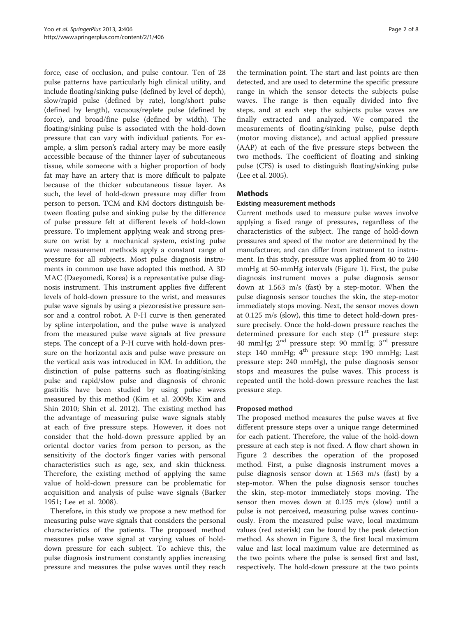force, ease of occlusion, and pulse contour. Ten of 28 pulse patterns have particularly high clinical utility, and include floating/sinking pulse (defined by level of depth), slow/rapid pulse (defined by rate), long/short pulse (defined by length), vacuous/replete pulse (defined by force), and broad/fine pulse (defined by width). The floating/sinking pulse is associated with the hold-down pressure that can vary with individual patients. For example, a slim person's radial artery may be more easily accessible because of the thinner layer of subcutaneous tissue, while someone with a higher proportion of body fat may have an artery that is more difficult to palpate because of the thicker subcutaneous tissue layer. As such, the level of hold-down pressure may differ from person to person. TCM and KM doctors distinguish between floating pulse and sinking pulse by the difference of pulse pressure felt at different levels of hold-down pressure. To implement applying weak and strong pressure on wrist by a mechanical system, existing pulse wave measurement methods apply a constant range of pressure for all subjects. Most pulse diagnosis instruments in common use have adopted this method. A 3D MAC (Daeyomedi, Korea) is a representative pulse diagnosis instrument. This instrument applies five different levels of hold-down pressure to the wrist, and measures pulse wave signals by using a piezoresistive pressure sensor and a control robot. A P-H curve is then generated by spline interpolation, and the pulse wave is analyzed from the measured pulse wave signals at five pressure steps. The concept of a P-H curve with hold-down pressure on the horizontal axis and pulse wave pressure on the vertical axis was introduced in KM. In addition, the distinction of pulse patterns such as floating/sinking pulse and rapid/slow pulse and diagnosis of chronic gastritis have been studied by using pulse waves measured by this method (Kim et al. [2009b;](#page-7-0) Kim and Shin [2010](#page-7-0); Shin et al. [2012](#page-7-0)). The existing method has the advantage of measuring pulse wave signals stably at each of five pressure steps. However, it does not consider that the hold-down pressure applied by an oriental doctor varies from person to person, as the sensitivity of the doctor's finger varies with personal characteristics such as age, sex, and skin thickness. Therefore, the existing method of applying the same value of hold-down pressure can be problematic for acquisition and analysis of pulse wave signals (Barker [1951;](#page-7-0) Lee et al. [2008](#page-7-0)).

Therefore, in this study we propose a new method for measuring pulse wave signals that considers the personal characteristics of the patients. The proposed method measures pulse wave signal at varying values of holddown pressure for each subject. To achieve this, the pulse diagnosis instrument constantly applies increasing pressure and measures the pulse waves until they reach the termination point. The start and last points are then detected, and are used to determine the specific pressure range in which the sensor detects the subjects pulse waves. The range is then equally divided into five steps, and at each step the subjects pulse waves are finally extracted and analyzed. We compared the measurements of floating/sinking pulse, pulse depth (motor moving distance), and actual applied pressure (AAP) at each of the five pressure steps between the two methods. The coefficient of floating and sinking pulse (CFS) is used to distinguish floating/sinking pulse (Lee et al. [2005](#page-7-0)).

# **Methods**

### Existing measurement methods

Current methods used to measure pulse waves involve applying a fixed range of pressures, regardless of the characteristics of the subject. The range of hold-down pressures and speed of the motor are determined by the manufacturer, and can differ from instrument to instrument. In this study, pressure was applied from 40 to 240 mmHg at 50-mmHg intervals (Figure [1](#page-2-0)). First, the pulse diagnosis instrument moves a pulse diagnosis sensor down at 1.563 m/s (fast) by a step-motor. When the pulse diagnosis sensor touches the skin, the step-motor immediately stops moving. Next, the sensor moves down at 0.125 m/s (slow), this time to detect hold-down pressure precisely. Once the hold-down pressure reaches the determined pressure for each step  $(1<sup>st</sup>$  pressure step: 40 mmHg;  $2<sup>nd</sup>$  pressure step: 90 mmHg;  $3<sup>rd</sup>$  pressure step: 140 mmHg;  $4^{\text{th}}$  pressure step: 190 mmHg; Last pressure step: 240 mmHg), the pulse diagnosis sensor stops and measures the pulse waves. This process is repeated until the hold-down pressure reaches the last pressure step.

#### Proposed method

The proposed method measures the pulse waves at five different pressure steps over a unique range determined for each patient. Therefore, the value of the hold-down pressure at each step is not fixed. A flow chart shown in Figure [2](#page-3-0) describes the operation of the proposed method. First, a pulse diagnosis instrument moves a pulse diagnosis sensor down at 1.563 m/s (fast) by a step-motor. When the pulse diagnosis sensor touches the skin, step-motor immediately stops moving. The sensor then moves down at 0.125 m/s (slow) until a pulse is not perceived, measuring pulse waves continuously. From the measured pulse wave, local maximum values (red asterisk) can be found by the peak detection method. As shown in Figure [3](#page-3-0), the first local maximum value and last local maximum value are determined as the two points where the pulse is sensed first and last, respectively. The hold-down pressure at the two points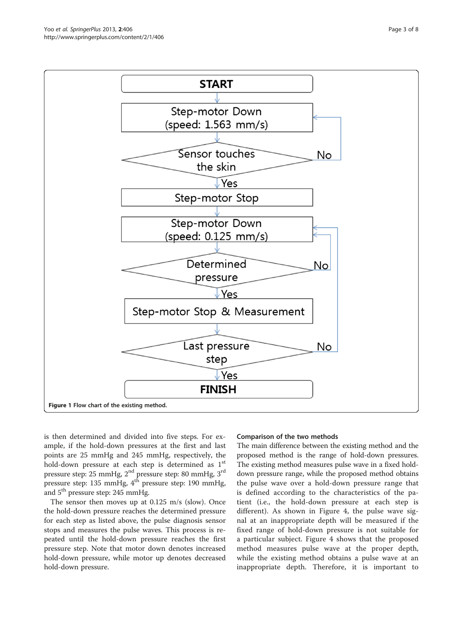<span id="page-2-0"></span>

is then determined and divided into five steps. For example, if the hold-down pressures at the first and last points are 25 mmHg and 245 mmHg, respectively, the hold-down pressure at each step is determined as  $1<sup>st</sup>$ pressure step: 25 mmHg, 2nd pressure step: 80 mmHg, 3rd pressure step: 135 mmHg, 4<sup>th</sup> pressure step: 190 mmHg, and 5<sup>th</sup> pressure step: 245 mmHg.

The sensor then moves up at 0.125 m/s (slow). Once the hold-down pressure reaches the determined pressure for each step as listed above, the pulse diagnosis sensor stops and measures the pulse waves. This process is repeated until the hold-down pressure reaches the first pressure step. Note that motor down denotes increased hold-down pressure, while motor up denotes decreased hold-down pressure.

#### Comparison of the two methods

The main difference between the existing method and the proposed method is the range of hold-down pressures. The existing method measures pulse wave in a fixed holddown pressure range, while the proposed method obtains the pulse wave over a hold-down pressure range that is defined according to the characteristics of the patient (i.e., the hold-down pressure at each step is different). As shown in Figure [4,](#page-4-0) the pulse wave signal at an inappropriate depth will be measured if the fixed range of hold-down pressure is not suitable for a particular subject. Figure [4](#page-4-0) shows that the proposed method measures pulse wave at the proper depth, while the existing method obtains a pulse wave at an inappropriate depth. Therefore, it is important to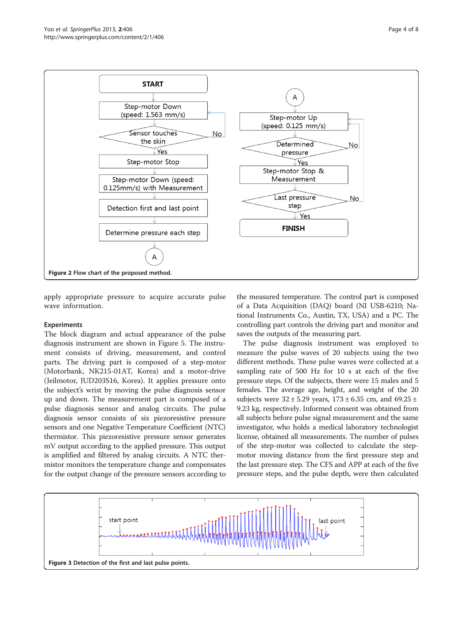<span id="page-3-0"></span>

apply appropriate pressure to acquire accurate pulse wave information.

# Experiments

The block diagram and actual appearance of the pulse diagnosis instrument are shown in Figure [5.](#page-4-0) The instrument consists of driving, measurement, and control parts. The driving part is composed of a step-motor (Motorbank, NK215-01AT, Korea) and a motor-drive (Jeilmotor, JUD203S16, Korea). It applies pressure onto the subject's wrist by moving the pulse diagnosis sensor up and down. The measurement part is composed of a pulse diagnosis sensor and analog circuits. The pulse diagnosis sensor consists of six piezoresistive pressure sensors and one Negative Temperature Coefficient (NTC) thermistor. This piezoresistive pressure sensor generates mV output according to the applied pressure. This output is amplified and filtered by analog circuits. A NTC thermistor monitors the temperature change and compensates for the output change of the pressure sensors according to

the measured temperature. The control part is composed of a Data Acquisition (DAQ) board (NI USB-6210; National Instruments Co., Austin, TX, USA) and a PC. The controlling part controls the driving part and monitor and saves the outputs of the measuring part.

The pulse diagnosis instrument was employed to measure the pulse waves of 20 subjects using the two different methods. These pulse waves were collected at a sampling rate of 500 Hz for 10 s at each of the five pressure steps. Of the subjects, there were 15 males and 5 females. The average age, height, and weight of the 20 subjects were  $32 \pm 5.29$  years,  $173 \pm 6.35$  cm, and  $69.25 \pm 1.5$ 9.23 kg, respectively. Informed consent was obtained from all subjects before pulse signal measurement and the same investigator, who holds a medical laboratory technologist license, obtained all measurements. The number of pulses of the step-motor was collected to calculate the stepmotor moving distance from the first pressure step and the last pressure step. The CFS and APP at each of the five pressure steps, and the pulse depth, were then calculated

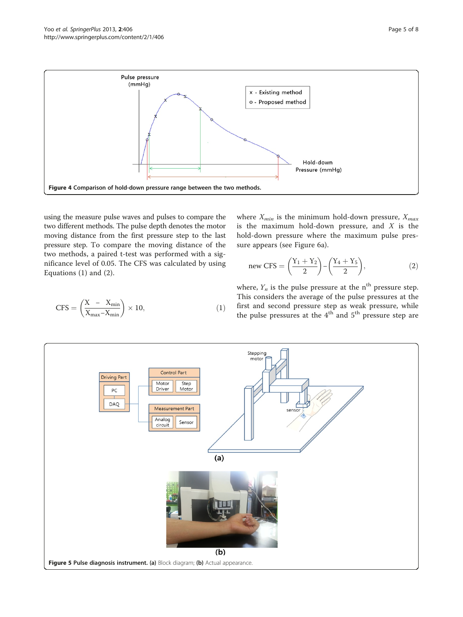<span id="page-4-0"></span>

using the measure pulse waves and pulses to compare the two different methods. The pulse depth denotes the motor moving distance from the first pressure step to the last pressure step. To compare the moving distance of the two methods, a paired t-test was performed with a significance level of 0.05. The CFS was calculated by using Equations (1) and (2).

where  $X_{min}$  is the minimum hold-down pressure,  $X_{max}$ is the maximum hold-down pressure, and  $X$  is the hold-down pressure where the maximum pulse pressure appears (see Figure [6](#page-5-0)a).

$$
new CFS = \left(\frac{Y_1 + Y_2}{2}\right) - \left(\frac{Y_4 + Y_5}{2}\right),\tag{2}
$$

$$
CFS = \left(\frac{X - X_{\min}}{X_{\max} - X_{\min}}\right) \times 10,\tag{1}
$$

where,  $Y_n$  is the pulse pressure at the n<sup>th</sup> pressure step. This considers the average of the pulse pressures at the first and second pressure step as weak pressure, while the pulse pressures at the  $4<sup>th</sup>$  and  $5<sup>th</sup>$  pressure step are

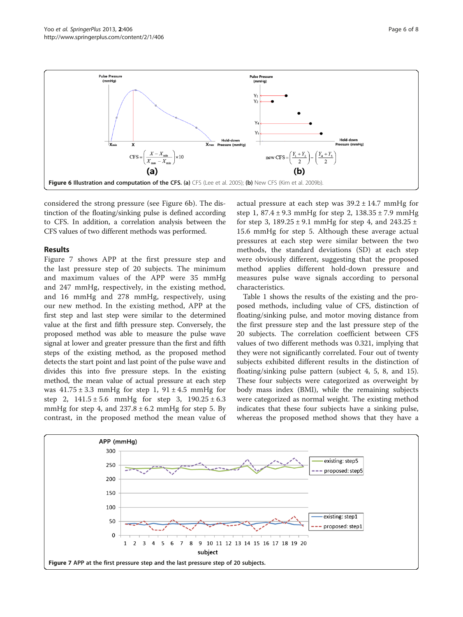<span id="page-5-0"></span>

considered the strong pressure (see Figure 6b). The distinction of the floating/sinking pulse is defined according to CFS. In addition, a correlation analysis between the CFS values of two different methods was performed.

### Results

Figure 7 shows APP at the first pressure step and the last pressure step of 20 subjects. The minimum and maximum values of the APP were 35 mmHg and 247 mmHg, respectively, in the existing method, and 16 mmHg and 278 mmHg, respectively, using our new method. In the existing method, APP at the first step and last step were similar to the determined value at the first and fifth pressure step. Conversely, the proposed method was able to measure the pulse wave signal at lower and greater pressure than the first and fifth steps of the existing method, as the proposed method detects the start point and last point of the pulse wave and divides this into five pressure steps. In the existing method, the mean value of actual pressure at each step was  $41.75 \pm 3.3$  mmHg for step 1,  $91 \pm 4.5$  mmHg for step 2,  $141.5 \pm 5.6$  mmHg for step 3,  $190.25 \pm 6.3$ mmHg for step 4, and  $237.8 \pm 6.2$  mmHg for step 5. By contrast, in the proposed method the mean value of

actual pressure at each step was  $39.2 \pm 14.7$  mmHg for step 1,  $87.4 \pm 9.3$  mmHg for step 2,  $138.35 \pm 7.9$  mmHg for step 3,  $189.25 \pm 9.1$  mmHg for step 4, and  $243.25 \pm 1.1$ 15.6 mmHg for step 5. Although these average actual pressures at each step were similar between the two methods, the standard deviations (SD) at each step were obviously different, suggesting that the proposed method applies different hold-down pressure and measures pulse wave signals according to personal characteristics.

Table [1](#page-6-0) shows the results of the existing and the proposed methods, including value of CFS, distinction of floating/sinking pulse, and motor moving distance from the first pressure step and the last pressure step of the 20 subjects. The correlation coefficient between CFS values of two different methods was 0.321, implying that they were not significantly correlated. Four out of twenty subjects exhibited different results in the distinction of floating/sinking pulse pattern (subject 4, 5, 8, and 15). These four subjects were categorized as overweight by body mass index (BMI), while the remaining subjects were categorized as normal weight. The existing method indicates that these four subjects have a sinking pulse, whereas the proposed method shows that they have a

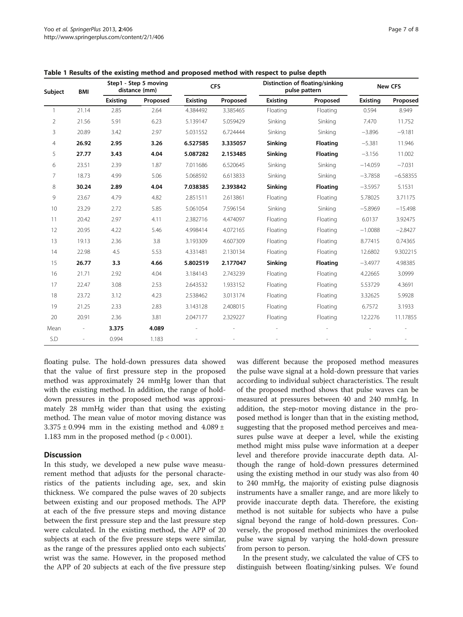| Subject      | BMI   | Step1 - Step 5 moving<br>distance (mm) |          | <b>CFS</b>      |          | Distinction of floating/sinking<br>pulse pattern |                 | <b>New CFS</b>  |            |
|--------------|-------|----------------------------------------|----------|-----------------|----------|--------------------------------------------------|-----------------|-----------------|------------|
|              |       | <b>Existing</b>                        | Proposed | <b>Existing</b> | Proposed | <b>Existing</b>                                  | Proposed        | <b>Existing</b> | Proposed   |
| $\mathbf{1}$ | 21.14 | 2.85                                   | 2.64     | 4.384492        | 3.385465 | Floating                                         | Floating        | 0.594           | 8.949      |
| 2            | 21.56 | 5.91                                   | 6.23     | 5.139147        | 5.059429 | Sinking                                          | Sinking         | 7.470           | 11.752     |
| 3            | 20.89 | 3.42                                   | 2.97     | 5.031552        | 6.724444 | Sinking                                          | Sinking         | $-3.896$        | $-9.181$   |
| 4            | 26.92 | 2.95                                   | 3.26     | 6.527585        | 3.335057 | Sinking                                          | <b>Floating</b> | $-5.381$        | 11.946     |
| 5            | 27.77 | 3.43                                   | 4.04     | 5.087282        | 2.153485 | Sinking                                          | <b>Floating</b> | $-3.156$        | 11.002     |
| 6            | 23.51 | 2.39                                   | 1.87     | 7.011686        | 6.520645 | Sinking                                          | Sinking         | $-14.059$       | $-7.031$   |
| 7            | 18.73 | 4.99                                   | 5.06     | 5.068592        | 6.613833 | Sinking                                          | Sinking         | $-3.7858$       | $-6.58355$ |
| 8            | 30.24 | 2.89                                   | 4.04     | 7.038385        | 2.393842 | Sinking                                          | <b>Floating</b> | $-3.5957$       | 5.1531     |
| 9            | 23.67 | 4.79                                   | 4.82     | 2.851511        | 2.613861 | Floating                                         | Floating        | 5.78025         | 3.71175    |
| 10           | 23.29 | 2.72                                   | 5.85     | 5.061054        | 7.596154 | Sinking                                          | Sinking         | $-5.8969$       | $-15.498$  |
| 11           | 20.42 | 2.97                                   | 4.11     | 2.382716        | 4.474097 | Floating                                         | Floating        | 6.0137          | 3.92475    |
| 12           | 20.95 | 4.22                                   | 5.46     | 4.998414        | 4.072165 | Floating                                         | Floating        | $-1.0088$       | $-2.8427$  |
| 13           | 19.13 | 2.36                                   | 3.8      | 3.193309        | 4.607309 | Floating                                         | Floating        | 8.77415         | 0.74365    |
| 14           | 22.98 | 4.5                                    | 5.53     | 4.331481        | 2.130134 | Floating                                         | Floating        | 12.6802         | 9.302215   |
| 15           | 26.77 | 3.3                                    | 4.66     | 5.802519        | 2.177047 | Sinking                                          | <b>Floating</b> | $-3.4977$       | 4.98385    |
| 16           | 21.71 | 2.92                                   | 4.04     | 3.184143        | 2.743239 | Floating                                         | Floating        | 4.22665         | 3.0999     |
| 17           | 22.47 | 3.08                                   | 2.53     | 2.643532        | 1.933152 | Floating                                         | Floating        | 5.53729         | 4.3691     |
| 18           | 23.72 | 3.12                                   | 4.23     | 2.538462        | 3.013174 | Floating                                         | Floating        | 3.32625         | 5.9928     |
| 19           | 21.25 | 2.33                                   | 2.83     | 3.143128        | 2.408015 | Floating                                         | Floating        | 6.7572          | 3.1933     |
| 20           | 20.91 | 2.36                                   | 3.81     | 2.047177        | 2.329227 | Floating                                         | Floating        | 12.2276         | 11.17855   |
| Mean         |       | 3.375                                  | 4.089    |                 |          |                                                  |                 |                 |            |
| S.D          |       | 0.994                                  | 1.183    |                 |          |                                                  |                 |                 |            |

<span id="page-6-0"></span>Table 1 Results of the existing method and proposed method with respect to pulse depth

floating pulse. The hold-down pressures data showed that the value of first pressure step in the proposed method was approximately 24 mmHg lower than that with the existing method. In addition, the range of holddown pressures in the proposed method was approximately 28 mmHg wider than that using the existing method. The mean value of motor moving distance was  $3.375 \pm 0.994$  mm in the existing method and  $4.089 \pm 0.994$ 1.183 mm in the proposed method ( $p < 0.001$ ).

# **Discussion**

In this study, we developed a new pulse wave measurement method that adjusts for the personal characteristics of the patients including age, sex, and skin thickness. We compared the pulse waves of 20 subjects between existing and our proposed methods. The APP at each of the five pressure steps and moving distance between the first pressure step and the last pressure step were calculated. In the existing method, the APP of 20 subjects at each of the five pressure steps were similar, as the range of the pressures applied onto each subjects' wrist was the same. However, in the proposed method the APP of 20 subjects at each of the five pressure step was different because the proposed method measures the pulse wave signal at a hold-down pressure that varies according to individual subject characteristics. The result of the proposed method shows that pulse waves can be measured at pressures between 40 and 240 mmHg. In addition, the step-motor moving distance in the proposed method is longer than that in the existing method, suggesting that the proposed method perceives and measures pulse wave at deeper a level, while the existing method might miss pulse wave information at a deeper level and therefore provide inaccurate depth data. Although the range of hold-down pressures determined using the existing method in our study was also from 40 to 240 mmHg, the majority of existing pulse diagnosis instruments have a smaller range, and are more likely to provide inaccurate depth data. Therefore, the existing method is not suitable for subjects who have a pulse signal beyond the range of hold-down pressures. Conversely, the proposed method minimizes the overlooked pulse wave signal by varying the hold-down pressure from person to person.

In the present study, we calculated the value of CFS to distinguish between floating/sinking pulses. We found